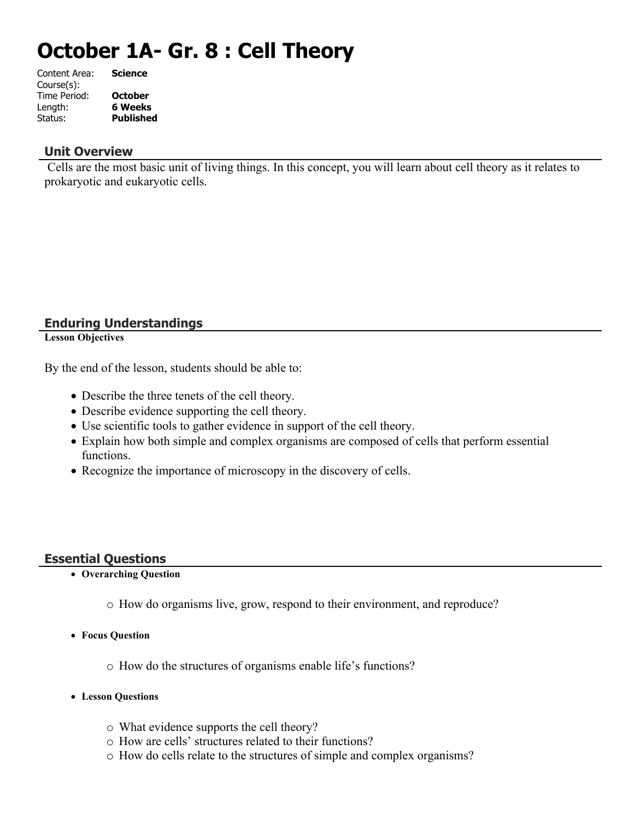# **October 1A- Gr. 8 : Cell Theory**

| Content Area: | <b>Science</b>   |
|---------------|------------------|
| Course(s):    |                  |
| Time Period:  | <b>October</b>   |
| Length:       | 6 Weeks          |
| Status:       | <b>Published</b> |
|               |                  |

#### **Unit Overview**

 Cells are the most basic unit of living things. In this concept, you will learn about cell theory as it relates to prokaryotic and eukaryotic cells.

# **Enduring Understandings**

**Lesson Objectives**

By the end of the lesson, students should be able to:

- Describe the three tenets of the cell theory.
- Describe evidence supporting the cell theory.
- Use scientific tools to gather evidence in support of the cell theory.
- Explain how both simple and complex organisms are composed of cells that perform essential functions.
- Recognize the importance of microscopy in the discovery of cells.

## **Essential Questions**

- **Overarching Question**
	- o How do organisms live, grow, respond to their environment, and reproduce?
- **Focus Question**
	- o How do the structures of organisms enable life's functions?
- **Lesson Questions**
	- o What evidence supports the cell theory?
	- o How are cells' structures related to their functions?
	- o How do cells relate to the structures of simple and complex organisms?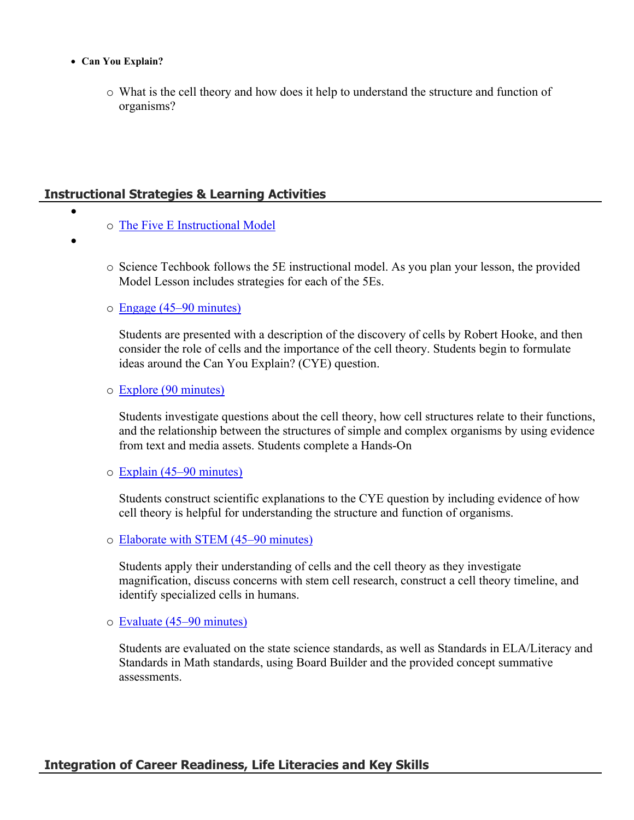- **Can You Explain?**
	- o What is the cell theory and how does it help to understand the structure and function of organisms?

# **Instructional Strategies & Learning Activities**

- o [The Five E Instructional Model](https://app.discoveryeducation.com/learn/techbook/units/3391ad2d-bceb-45dc-a68b-8fd21ab33671/concepts/347de6c1-d9af-44b6-8286-e5a02996035b/lesson/sections/3812d54a-c65f-4ea7-8b6a-fc8151a4a319#8611e296-093a-40f1-8d21-9441a72f000e)
- $\bullet$

 $\bullet$ 

- o Science Techbook follows the 5E instructional model. As you plan your lesson, the provided Model Lesson includes strategies for each of the 5Es.
- o [Engage \(45–90 minutes\)](https://app.discoveryeducation.com/learn/techbook/units/3391ad2d-bceb-45dc-a68b-8fd21ab33671/concepts/347de6c1-d9af-44b6-8286-e5a02996035b/lesson/sections/3812d54a-c65f-4ea7-8b6a-fc8151a4a319#7a44f8f8-8129-4c8a-b429-ff32990491cc)

Students are presented with a description of the discovery of cells by Robert Hooke, and then consider the role of cells and the importance of the cell theory. Students begin to formulate ideas around the Can You Explain? (CYE) question.

#### o [Explore \(90 minutes\)](https://app.discoveryeducation.com/learn/techbook/units/3391ad2d-bceb-45dc-a68b-8fd21ab33671/concepts/347de6c1-d9af-44b6-8286-e5a02996035b/lesson/sections/3812d54a-c65f-4ea7-8b6a-fc8151a4a319#34447ad2-8720-4958-bbc4-98b19d4c6bed)

Students investigate questions about the cell theory, how cell structures relate to their functions, and the relationship between the structures of simple and complex organisms by using evidence from text and media assets. Students complete a Hands-On

#### o [Explain \(45–90 minutes\)](https://app.discoveryeducation.com/learn/techbook/units/3391ad2d-bceb-45dc-a68b-8fd21ab33671/concepts/347de6c1-d9af-44b6-8286-e5a02996035b/lesson/sections/3812d54a-c65f-4ea7-8b6a-fc8151a4a319#13da88f1-f454-416e-8bea-fe19d643b921)

Students construct scientific explanations to the CYE question by including evidence of how cell theory is helpful for understanding the structure and function of organisms.

o [Elaborate with STEM \(45–90 minutes\)](https://app.discoveryeducation.com/learn/techbook/units/3391ad2d-bceb-45dc-a68b-8fd21ab33671/concepts/347de6c1-d9af-44b6-8286-e5a02996035b/lesson/sections/3812d54a-c65f-4ea7-8b6a-fc8151a4a319#6bc4406c-1852-420f-a119-812979a340e9)

Students apply their understanding of cells and the cell theory as they investigate magnification, discuss concerns with stem cell research, construct a cell theory timeline, and identify specialized cells in humans.

o [Evaluate \(45–90 minutes\)](https://app.discoveryeducation.com/learn/techbook/units/3391ad2d-bceb-45dc-a68b-8fd21ab33671/concepts/347de6c1-d9af-44b6-8286-e5a02996035b/lesson/sections/3812d54a-c65f-4ea7-8b6a-fc8151a4a319#5ad7185c-0354-44a3-be5c-ce3a31821ba1)

Students are evaluated on the state science standards, as well as Standards in ELA/Literacy and Standards in Math standards, using Board Builder and the provided concept summative assessments.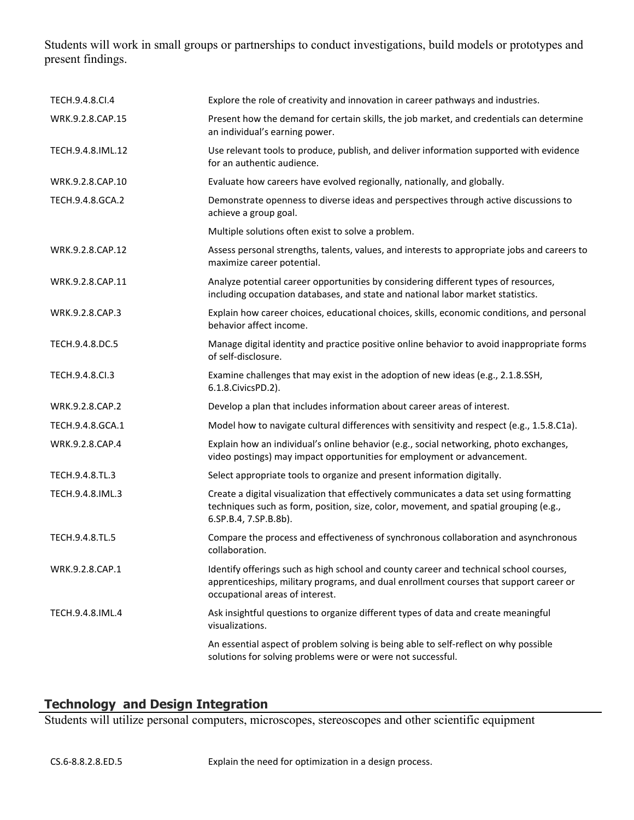Students will work in small groups or partnerships to conduct investigations, build models or prototypes and present findings.

| TECH.9.4.8.CI.4   | Explore the role of creativity and innovation in career pathways and industries.                                                                                                                                    |
|-------------------|---------------------------------------------------------------------------------------------------------------------------------------------------------------------------------------------------------------------|
| WRK.9.2.8.CAP.15  | Present how the demand for certain skills, the job market, and credentials can determine<br>an individual's earning power.                                                                                          |
| TECH.9.4.8.IML.12 | Use relevant tools to produce, publish, and deliver information supported with evidence<br>for an authentic audience.                                                                                               |
| WRK.9.2.8.CAP.10  | Evaluate how careers have evolved regionally, nationally, and globally.                                                                                                                                             |
| TECH.9.4.8.GCA.2  | Demonstrate openness to diverse ideas and perspectives through active discussions to<br>achieve a group goal.                                                                                                       |
|                   | Multiple solutions often exist to solve a problem.                                                                                                                                                                  |
| WRK.9.2.8.CAP.12  | Assess personal strengths, talents, values, and interests to appropriate jobs and careers to<br>maximize career potential.                                                                                          |
| WRK.9.2.8.CAP.11  | Analyze potential career opportunities by considering different types of resources,<br>including occupation databases, and state and national labor market statistics.                                              |
| WRK.9.2.8.CAP.3   | Explain how career choices, educational choices, skills, economic conditions, and personal<br>behavior affect income.                                                                                               |
| TECH.9.4.8.DC.5   | Manage digital identity and practice positive online behavior to avoid inappropriate forms<br>of self-disclosure.                                                                                                   |
| TECH.9.4.8.Cl.3   | Examine challenges that may exist in the adoption of new ideas (e.g., 2.1.8.SSH,<br>6.1.8. Civics PD. 2).                                                                                                           |
| WRK.9.2.8.CAP.2   | Develop a plan that includes information about career areas of interest.                                                                                                                                            |
| TECH.9.4.8.GCA.1  | Model how to navigate cultural differences with sensitivity and respect (e.g., 1.5.8.C1a).                                                                                                                          |
| WRK.9.2.8.CAP.4   | Explain how an individual's online behavior (e.g., social networking, photo exchanges,<br>video postings) may impact opportunities for employment or advancement.                                                   |
| TECH.9.4.8.TL.3   | Select appropriate tools to organize and present information digitally.                                                                                                                                             |
| TECH.9.4.8.IML.3  | Create a digital visualization that effectively communicates a data set using formatting<br>techniques such as form, position, size, color, movement, and spatial grouping (e.g.,<br>6.SP.B.4, 7.SP.B.8b).          |
| TECH.9.4.8.TL.5   | Compare the process and effectiveness of synchronous collaboration and asynchronous<br>collaboration.                                                                                                               |
| WRK.9.2.8.CAP.1   | Identify offerings such as high school and county career and technical school courses,<br>apprenticeships, military programs, and dual enrollment courses that support career or<br>occupational areas of interest. |
| TECH.9.4.8.IML.4  | Ask insightful questions to organize different types of data and create meaningful<br>visualizations.                                                                                                               |
|                   | An essential aspect of problem solving is being able to self-reflect on why possible<br>solutions for solving problems were or were not successful.                                                                 |

# **Technology and Design Integration**

Students will utilize personal computers, microscopes, stereoscopes and other scientific equipment

CS.6-8.8.2.8.ED.5 Explain the need for optimization in a design process.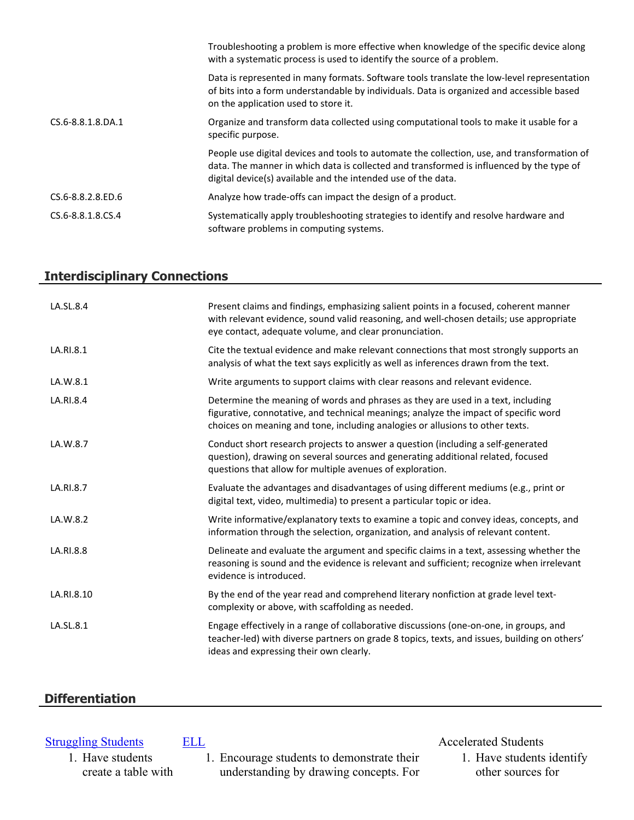|                   | Troubleshooting a problem is more effective when knowledge of the specific device along<br>with a systematic process is used to identify the source of a problem.                                                                                        |
|-------------------|----------------------------------------------------------------------------------------------------------------------------------------------------------------------------------------------------------------------------------------------------------|
|                   | Data is represented in many formats. Software tools translate the low-level representation<br>of bits into a form understandable by individuals. Data is organized and accessible based<br>on the application used to store it.                          |
| CS.6-8.8.1.8.DA.1 | Organize and transform data collected using computational tools to make it usable for a<br>specific purpose.                                                                                                                                             |
|                   | People use digital devices and tools to automate the collection, use, and transformation of<br>data. The manner in which data is collected and transformed is influenced by the type of<br>digital device(s) available and the intended use of the data. |
| CS.6-8.8.2.8.ED.6 | Analyze how trade-offs can impact the design of a product.                                                                                                                                                                                               |
| CS.6-8.8.1.8.CS.4 | Systematically apply troubleshooting strategies to identify and resolve hardware and<br>software problems in computing systems.                                                                                                                          |

# **Interdisciplinary Connections**

| LA.SL.8.4  | Present claims and findings, emphasizing salient points in a focused, coherent manner<br>with relevant evidence, sound valid reasoning, and well-chosen details; use appropriate<br>eye contact, adequate volume, and clear pronunciation.                |
|------------|-----------------------------------------------------------------------------------------------------------------------------------------------------------------------------------------------------------------------------------------------------------|
| LA.RI.8.1  | Cite the textual evidence and make relevant connections that most strongly supports an<br>analysis of what the text says explicitly as well as inferences drawn from the text.                                                                            |
| LA.W.8.1   | Write arguments to support claims with clear reasons and relevant evidence.                                                                                                                                                                               |
| LA.RI.8.4  | Determine the meaning of words and phrases as they are used in a text, including<br>figurative, connotative, and technical meanings; analyze the impact of specific word<br>choices on meaning and tone, including analogies or allusions to other texts. |
| LA.W.8.7   | Conduct short research projects to answer a question (including a self-generated<br>question), drawing on several sources and generating additional related, focused<br>questions that allow for multiple avenues of exploration.                         |
| LA.RI.8.7  | Evaluate the advantages and disadvantages of using different mediums (e.g., print or<br>digital text, video, multimedia) to present a particular topic or idea.                                                                                           |
| LA.W.8.2   | Write informative/explanatory texts to examine a topic and convey ideas, concepts, and<br>information through the selection, organization, and analysis of relevant content.                                                                              |
| LA.RI.8.8  | Delineate and evaluate the argument and specific claims in a text, assessing whether the<br>reasoning is sound and the evidence is relevant and sufficient; recognize when irrelevant<br>evidence is introduced.                                          |
| LA.RI.8.10 | By the end of the year read and comprehend literary nonfiction at grade level text-<br>complexity or above, with scaffolding as needed.                                                                                                                   |
| LA.SL.8.1  | Engage effectively in a range of collaborative discussions (one-on-one, in groups, and<br>teacher-led) with diverse partners on grade 8 topics, texts, and issues, building on others'<br>ideas and expressing their own clearly.                         |

# **Differentiation**

# **[Struggling Students](https://app.discoveryeducation.com/player/view/assetGuid/4995767F-D634-40C6-B25B-BDEA06E14F90)** [ELL](https://app.discoveryeducation.com/player/view/assetGuid/D727DF69-B79B-4A92-AA1F-CE23C74D98D9) **ELL ELL Accelerated Students**

1. Have students create a table with

1. Encourage students to demonstrate their understanding by drawing concepts. For 1. Have students identify other sources for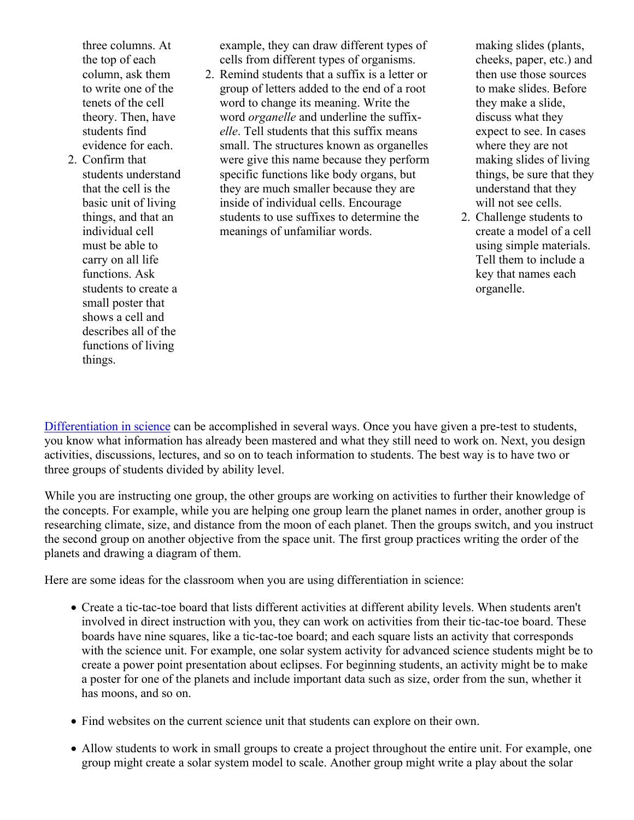three columns. At the top of each column, ask them to write one of the tenets of the cell theory. Then, have students find evidence for each.

2. Confirm that students understand that the cell is the basic unit of living things, and that an individual cell must be able to carry on all life functions. Ask students to create a small poster that shows a cell and describes all of the functions of living things.

example, they can draw different types of cells from different types of organisms.

2. Remind students that a suffix is a letter or group of letters added to the end of a root word to change its meaning. Write the word *organelle* and underline the suffix*elle*. Tell students that this suffix means small. The structures known as organelles were give this name because they perform specific functions like body organs, but they are much smaller because they are inside of individual cells. Encourage students to use suffixes to determine the meanings of unfamiliar words.

making slides (plants, cheeks, paper, etc.) and then use those sources to make slides. Before they make a slide, discuss what they expect to see. In cases where they are not making slides of living things, be sure that they understand that they will not see cells.

2. Challenge students to create a model of a cell using simple materials. Tell them to include a key that names each organelle.

[Differentiation in science](http://www.brighthubeducation.com/teaching-gifted-students/65181-differentiation-techniques-and-activities-in-the-classroom-for-gifted-students/) can be accomplished in several ways. Once you have given a pre-test to students, you know what information has already been mastered and what they still need to work on. Next, you design activities, discussions, lectures, and so on to teach information to students. The best way is to have two or three groups of students divided by ability level.

While you are instructing one group, the other groups are working on activities to further their knowledge of the concepts. For example, while you are helping one group learn the planet names in order, another group is researching climate, size, and distance from the moon of each planet. Then the groups switch, and you instruct the second group on another objective from the space unit. The first group practices writing the order of the planets and drawing a diagram of them.

Here are some ideas for the classroom when you are using differentiation in science:

- Create a tic-tac-toe board that lists different activities at different ability levels. When students aren't involved in direct instruction with you, they can work on activities from their tic-tac-toe board. These boards have nine squares, like a tic-tac-toe board; and each square lists an activity that corresponds with the science unit. For example, one solar system activity for advanced science students might be to create a power point presentation about eclipses. For beginning students, an activity might be to make a poster for one of the planets and include important data such as size, order from the sun, whether it has moons, and so on.
- Find websites on the current science unit that students can explore on their own.
- Allow students to work in small groups to create a project throughout the entire unit. For example, one group might create a solar system model to scale. Another group might write a play about the solar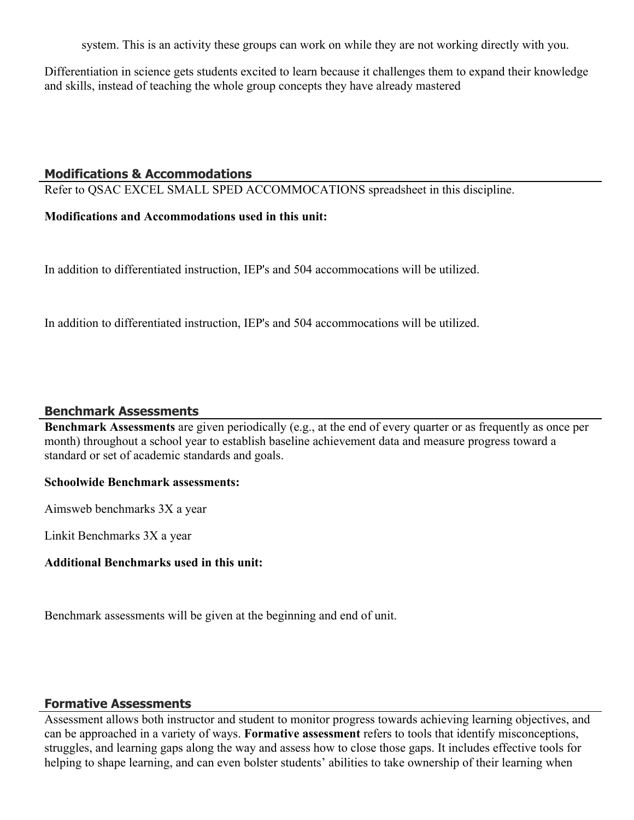system. This is an activity these groups can work on while they are not working directly with you.

Differentiation in science gets students excited to learn because it challenges them to expand their knowledge and skills, instead of teaching the whole group concepts they have already mastered

#### **Modifications & Accommodations**

Refer to QSAC EXCEL SMALL SPED ACCOMMOCATIONS spreadsheet in this discipline.

#### **Modifications and Accommodations used in this unit:**

In addition to differentiated instruction, IEP's and 504 accommocations will be utilized.

In addition to differentiated instruction, IEP's and 504 accommocations will be utilized.

#### **Benchmark Assessments**

**Benchmark Assessments** are given periodically (e.g., at the end of every quarter or as frequently as once per month) throughout a school year to establish baseline achievement data and measure progress toward a standard or set of academic standards and goals.

#### **Schoolwide Benchmark assessments:**

Aimsweb benchmarks 3X a year

Linkit Benchmarks 3X a year

#### **Additional Benchmarks used in this unit:**

Benchmark assessments will be given at the beginning and end of unit.

#### **Formative Assessments**

Assessment allows both instructor and student to monitor progress towards achieving learning objectives, and can be approached in a variety of ways. **Formative assessment** refers to tools that identify misconceptions, struggles, and learning gaps along the way and assess how to close those gaps. It includes effective tools for helping to shape learning, and can even bolster students' abilities to take ownership of their learning when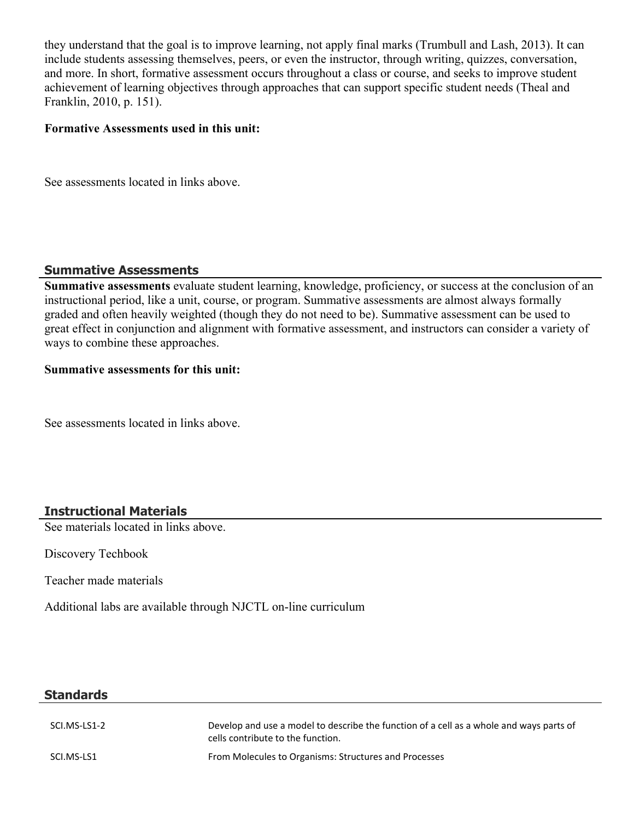they understand that the goal is to improve learning, not apply final marks (Trumbull and Lash, 2013). It can include students assessing themselves, peers, or even the instructor, through writing, quizzes, conversation, and more. In short, formative assessment occurs throughout a class or course, and seeks to improve student achievement of learning objectives through approaches that can support specific student needs (Theal and Franklin, 2010, p. 151).

#### **Formative Assessments used in this unit:**

See assessments located in links above.

## **Summative Assessments**

**Summative assessments** evaluate student learning, knowledge, proficiency, or success at the conclusion of an instructional period, like a unit, course, or program. Summative assessments are almost always formally graded and often heavily weighted (though they do not need to be). Summative assessment can be used to great effect in conjunction and alignment with formative assessment, and instructors can consider a variety of ways to combine these approaches.

#### **Summative assessments for this unit:**

See assessments located in links above.

# **Instructional Materials**

See materials located in links above.

Discovery Techbook

Teacher made materials

Additional labs are available through NJCTL on-line curriculum

## **Standards**

| SCI.MS-LS1-2 | Develop and use a model to describe the function of a cell as a whole and ways parts of<br>cells contribute to the function. |
|--------------|------------------------------------------------------------------------------------------------------------------------------|
| SCI.MS-LS1   | From Molecules to Organisms: Structures and Processes                                                                        |